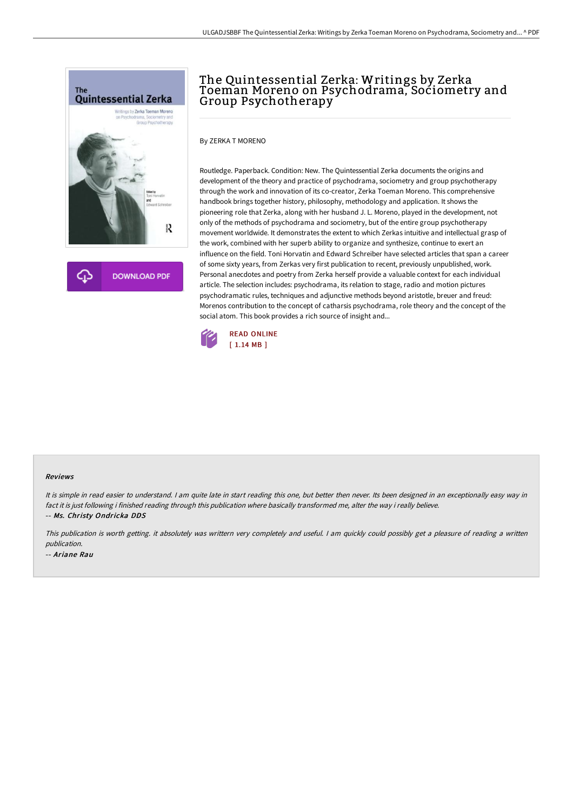



# The Quintessential Zerka: Writings by Zerka Toeman Moreno on Psychodrama, Sociometry and Group Psychotherapy

By ZERKA T MORENO

Routledge. Paperback. Condition: New. The Quintessential Zerka documents the origins and development of the theory and practice of psychodrama, sociometry and group psychotherapy through the work and innovation of its co-creator, Zerka Toeman Moreno. This comprehensive handbook brings together history, philosophy, methodology and application. It shows the pioneering role that Zerka, along with her husband J. L. Moreno, played in the development, not only of the methods of psychodrama and sociometry, but of the entire group psychotherapy movement worldwide. It demonstrates the extent to which Zerkas intuitive and intellectual grasp of the work, combined with her superb ability to organize and synthesize, continue to exert an influence on the field. Toni Horvatin and Edward Schreiber have selected articles that span a career of some sixty years, from Zerkas very first publication to recent, previously unpublished, work. Personal anecdotes and poetry from Zerka herself provide a valuable context for each individual article. The selection includes: psychodrama, its relation to stage, radio and motion pictures psychodramatic rules, techniques and adjunctive methods beyond aristotle, breuer and freud: Morenos contribution to the concept of catharsis psychodrama, role theory and the concept of the social atom. This book provides a rich source of insight and...



#### Reviews

It is simple in read easier to understand. I am quite late in start reading this one, but better then never. Its been designed in an exceptionally easy way in fact it is just following i finished reading through this publication where basically transformed me, alter the way i really believe. -- Ms. Christy Ondricka DDS

This publication is worth getting. it absolutely was writtern very completely and useful. <sup>I</sup> am quickly could possibly get <sup>a</sup> pleasure of reading <sup>a</sup> written publication. -- Ariane Rau